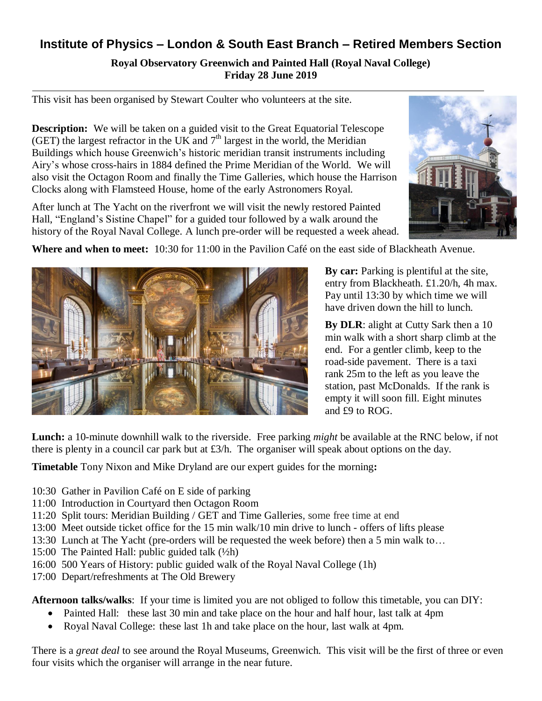## **Institute of Physics – London & South East Branch – Retired Members Section**

**Royal Observatory Greenwich and Painted Hall (Royal Naval College) Friday 28 June 2019**

This visit has been organised by Stewart Coulter who volunteers at the site.

**Description:** We will be taken on a guided visit to the Great Equatorial Telescope (GET) the largest refractor in the UK and  $7<sup>th</sup>$  largest in the world, the Meridian Buildings which house Greenwich's historic meridian transit instruments including Airy's whose cross-hairs in 1884 defined the Prime Meridian of the World. We will also visit the Octagon Room and finally the Time Galleries, which house the Harrison Clocks along with Flamsteed House, home of the early Astronomers Royal.

After lunch at The Yacht on the riverfront we will visit the newly restored Painted Hall, "England's Sistine Chapel" for a guided tour followed by a walk around the history of the Royal Naval College. A lunch pre-order will be requested a week ahead.



**Where and when to meet:** 10:30 for 11:00 in the Pavilion Café on the east side of Blackheath Avenue.



**By car:** Parking is plentiful at the site, entry from Blackheath. £1.20/h, 4h max. Pay until 13:30 by which time we will have driven down the hill to lunch.

**By DLR**: alight at Cutty Sark then a 10 min walk with a short sharp climb at the end. For a gentler climb, keep to the road-side pavement. There is a taxi rank 25m to the left as you leave the station, past McDonalds. If the rank is empty it will soon fill. Eight minutes and £9 to ROG.

**Lunch:** a 10-minute downhill walk to the riverside. Free parking *might* be available at the RNC below, if not there is plenty in a council car park but at £3/h. The organiser will speak about options on the day.

**Timetable** Tony Nixon and Mike Dryland are our expert guides for the morning**:**

- 10:30 Gather in Pavilion Café on E side of parking
- 11:00 Introduction in Courtyard then Octagon Room
- 11:20 Split tours: Meridian Building / GET and Time Galleries, some free time at end
- 13:00 Meet outside ticket office for the 15 min walk/10 min drive to lunch offers of lifts please
- 13:30 Lunch at The Yacht (pre-orders will be requested the week before) then a 5 min walk to…
- 15:00 The Painted Hall: public guided talk (½h)
- 16:00 500 Years of History: public guided walk of the Royal Naval College (1h)
- 17:00 Depart/refreshments at The Old Brewery

**Afternoon talks/walks**: If your time is limited you are not obliged to follow this timetable, you can DIY:

- Painted Hall: these last 30 min and take place on the hour and half hour, last talk at 4pm
- Royal Naval College: these last 1h and take place on the hour, last walk at 4pm.

There is a *great deal* to see around the Royal Museums, Greenwich. This visit will be the first of three or even four visits which the organiser will arrange in the near future.